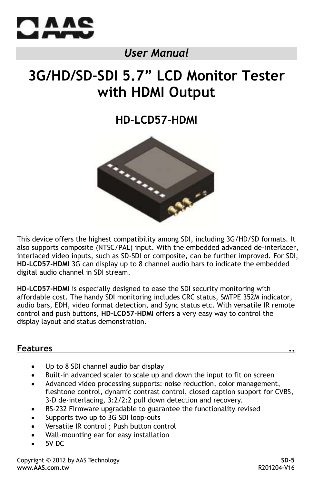

# *User Manual*

# **3G/HD/SD-SDI 5.7" LCD Monitor Tester with HDMI Output**

# **HD-LCD57-HDMI**



This device offers the highest compatibility among SDI, including 3G/HD/SD formats. It also supports composite (NTSC/PAL) input. With the embedded advanced de-interlacer, interlaced video inputs, such as SD-SDI or composite, can be further improved. For SDI, **HD-LCD57-HDMI** 3G can display up to 8 channel audio bars to indicate the embedded digital audio channel in SDI stream.

**HD-LCD57-HDMI** is especially designed to ease the SDI security monitoring with affordable cost. The handy SDI monitoring includes CRC status, SMTPE 352M indicator, audio bars, EDH, video format detection, and Sync status etc. With versatile IR remote control and push buttons, **HD-LCD57-HDMI** offers a very easy way to control the display layout and status demonstration.

# **Features ..**

- Up to 8 SDI channel audio bar display
- Built-in advanced scaler to scale up and down the input to fit on screen
- Advanced video processing supports: noise reduction, color management, fleshtone control, dynamic contrast control, closed caption support for CVBS, 3-D de-interlacing, 3:2/2:2 pull down detection and recovery.
- RS-232 Firmware upgradable to guarantee the functionality revised
- Supports two up to 3G SDI loop-outs
- Versatile IR control ; Push button control
- Wall-mounting ear for easy installation
- 5V DC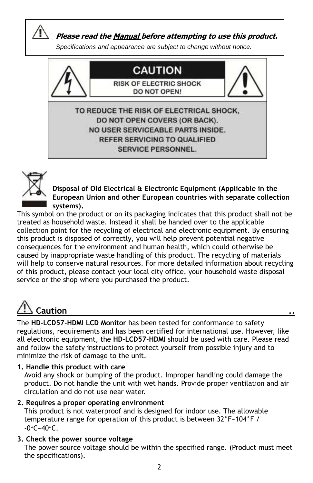

 **Please read the Manual before attempting to use this product.**

*Specifications and appearance are subject to change without notice.*





**Disposal of Old Electrical & Electronic Equipment (Applicable in the European Union and other European countries with separate collection systems).**

This symbol on the product or on its packaging indicates that this product shall not be treated as household waste. Instead it shall be handed over to the applicable collection point for the recycling of electrical and electronic equipment. By ensuring this product is disposed of correctly, you will help prevent potential negative consequences for the environment and human health, which could otherwise be caused by inappropriate waste handling of this product. The recycling of materials will help to conserve natural resources. For more detailed information about recycling of this product, please contact your local city office, your household waste disposal service or the shop where you purchased the product.

# **Caution ..**

The **HD-LCD57-HDMI LCD Monitor** has been tested for conformance to safety regulations, requirements and has been certified for international use. However, like all electronic equipment, the **HD-LCD57-HDMI** should be used with care. Please read and follow the safety instructions to protect yourself from possible injury and to minimize the risk of damage to the unit.

# **1. Handle this product with care**

 Avoid any shock or bumping of the product. Improper handling could damage the product. Do not handle the unit with wet hands. Provide proper ventilation and air circulation and do not use near water.

### **2. Requires a proper operating environment**

 This product is not waterproof and is designed for indoor use. The allowable temperature range for operation of this product is between 32°F~104°F /  $-0^{\circ}$ C $-40^{\circ}$ C.

# **3. Check the power source voltage**

 The power source voltage should be within the specified range. (Product must meet the specifications).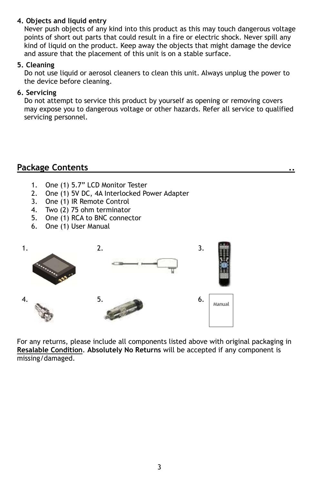### **4. Objects and liquid entry**

 Never push objects of any kind into this product as this may touch dangerous voltage points of short out parts that could result in a fire or electric shock. Never spill any kind of liquid on the product. Keep away the objects that might damage the device and assure that the placement of this unit is on a stable surface.

#### **5. Cleaning**

 Do not use liquid or aerosol cleaners to clean this unit. Always unplug the power to the device before cleaning.

#### **6. Servicing**

 Do not attempt to service this product by yourself as opening or removing covers may expose you to dangerous voltage or other hazards. Refer all service to qualified servicing personnel.

# **Package Contents ..**

- 1. One (1) 5.7" LCD Monitor Tester
- 2. One (1) 5V DC, 4A Interlocked Power Adapter
- 3. One (1) IR Remote Control
- 4. Two (2) 75 ohm terminator
- 5. One (1) RCA to BNC connector
- 6. One (1) User Manual



For any returns, please include all components listed above with original packaging in **Resalable Condition**. **Absolutely No Returns** will be accepted if any component is missing/damaged.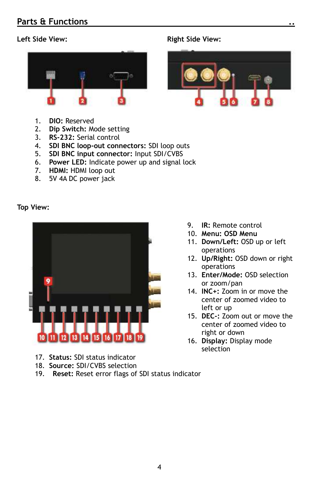# **Parts & Functions ..**



- 1. **DIO:** Reserved
- 2. **Dip Switch:** Mode setting
- 3. **RS-232:** Serial control
- 4. **SDI BNC loop-out connectors:** SDI loop outs
- 5. **SDI BNC input connector:** Input SDI/CVBS
- 6. **Power LED:** Indicate power up and signal lock
- 7. **HDMI:** HDMI loop out
- 8. 5V 4A DC power jack

#### **Top View:**



- 17. **Status:** SDI status indicator
- 18. **Source:** SDI/CVBS selection
- 19. **Reset:** Reset error flags of SDI status indicator

#### Left Side View: **Right Side View:** Right Side View:



- 9. **IR:** Remote control
- 10. **Menu: OSD Menu**
- 11. **Down/Left:** OSD up or left operations
- 12. **Up/Right:** OSD down or right operations
- 13. **Enter/Mode:** OSD selection or zoom/pan
- 14. **INC+:** Zoom in or move the center of zoomed video to left or up
- 15. **DEC-:** Zoom out or move the center of zoomed video to right or down
- 16. **Display:** Display mode selection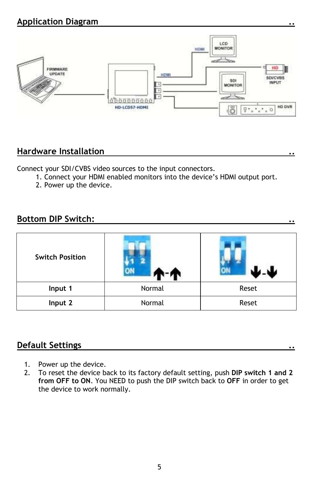# **Application Diagram ..**



# **Hardware Installation ..**

Connect your SDI/CVBS video sources to the input connectors.

- 1. Connect your HDMI enabled monitors into the device's HDMI output port.
- 2. Power up the device.

# **Bottom DIP Switch: ..**

| <b>Switch Position</b> |                 |       |  |
|------------------------|-----------------|-------|--|
| Input 1                | Normal          | Reset |  |
| Input 2                | Normal<br>Reset |       |  |

# **Default Settings ..**

- 1. Power up the device.
- 2. To reset the device back to its factory default setting, push **DIP switch 1 and 2 from OFF to ON**. You NEED to push the DIP switch back to **OFF** in order to get the device to work normally.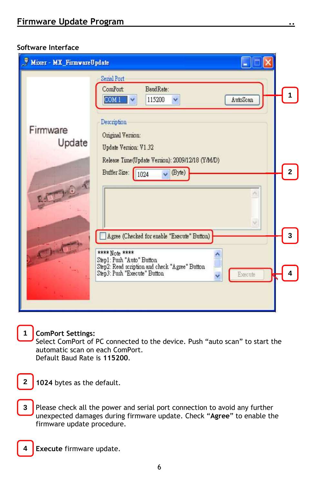#### **Software Interface**

| Mixer - MX Firmware Update |                                                                                                                                                          |                |
|----------------------------|----------------------------------------------------------------------------------------------------------------------------------------------------------|----------------|
| Firmware                   | Serial Port<br>ComPort:<br>BaudRate:<br>COM1<br>AutoScan<br>115200<br>$\checkmark$<br>Description                                                        |                |
| Update<br>C. Ford          | Original Version:<br>Update Version: V1.32<br>Release Time(Update Version): 2009/12/18 (Y/M/D)<br>(Byte)<br>Buffer Size:<br>1024<br>$\ddot{\phantom{0}}$ | $\overline{2}$ |
|                            | Agree (Checked for enable "Execute" Button)<br>**** Note ****<br>Step1: Push "Auto" Button                                                               | 3              |
|                            | Step2: Read scription and check "Agree" Button<br>Step3: Push "Execute" Button<br>Execute                                                                |                |

**ComPort Settings:** 

**1**

**4**

Select ComPort of PC connected to the device. Push "auto scan" to start the automatic scan on each ComPort. Default Baud Rate is **115200**.

**1024** bytes as the default. **2**

Please check all the power and serial port connection to avoid any further unexpected damages during firmware update. Check "**Agree**" to enable the firmware update procedure. **3**

**Execute** firmware update.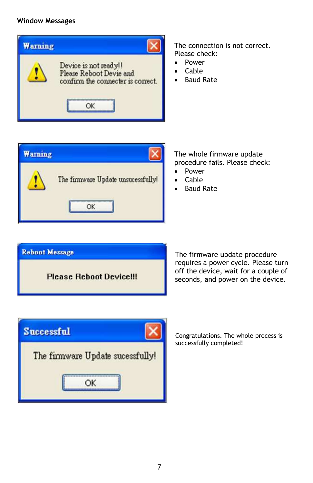#### **Window Messages**



The connection is not correct. Please check:

- Power
- Cable
- Baud Rate



The whole firmware update procedure fails. Please check:

- Power
- Cable
- Baud Rate



The firmware update procedure requires a power cycle. Please turn off the device, wait for a couple of seconds, and power on the device.

| The firmware Update sucessfully! |
|----------------------------------|
|                                  |
|                                  |

Congratulations. The whole process is successfully completed!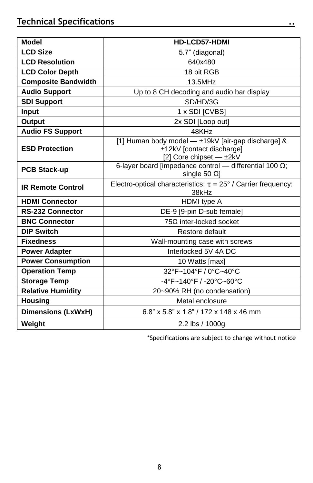| <b>Model</b>               | HD-LCD57-HDMI                                                                                              |  |
|----------------------------|------------------------------------------------------------------------------------------------------------|--|
| <b>LCD Size</b>            | 5.7" (diagonal)                                                                                            |  |
| <b>LCD Resolution</b>      | 640x480                                                                                                    |  |
| <b>LCD Color Depth</b>     | 18 bit RGB                                                                                                 |  |
| <b>Composite Bandwidth</b> | 13.5MHz                                                                                                    |  |
| <b>Audio Support</b>       | Up to 8 CH decoding and audio bar display                                                                  |  |
| <b>SDI Support</b>         | SD/HD/3G                                                                                                   |  |
| <b>Input</b>               | 1 x SDI [CVBS]                                                                                             |  |
| Output                     | 2x SDI [Loop out]                                                                                          |  |
| <b>Audio FS Support</b>    | 48KHz                                                                                                      |  |
| <b>ESD Protection</b>      | [1] Human body model - ±19kV [air-gap discharge] &<br>±12kV [contact discharge]<br>[2] Core chipset - ±2kV |  |
| <b>PCB Stack-up</b>        | 6-layer board [impedance control - differential 100 $\Omega$ ;<br>single 50 $\Omega$ ]                     |  |
| <b>IR Remote Control</b>   | Electro-optical characteristics: $\tau = 25^{\circ}$ / Carrier frequency:<br>38kHz                         |  |
| <b>HDMI Connector</b>      | HDMI type A                                                                                                |  |
| <b>RS-232 Connector</b>    | DE-9 [9-pin D-sub female]                                                                                  |  |
| <b>BNC Connector</b>       | $75\Omega$ inter-locked socket                                                                             |  |
| <b>DIP Switch</b>          | Restore default                                                                                            |  |
| <b>Fixedness</b>           | Wall-mounting case with screws                                                                             |  |
| <b>Power Adapter</b>       | Interlocked 5V 4A DC                                                                                       |  |
| <b>Power Consumption</b>   | 10 Watts [max]                                                                                             |  |
| <b>Operation Temp</b>      | 32°F~104°F / 0°C~40°C                                                                                      |  |
| <b>Storage Temp</b>        | -4°F~140°F / -20°C~60°C                                                                                    |  |
| <b>Relative Humidity</b>   | 20~90% RH (no condensation)                                                                                |  |
| <b>Housing</b>             | Metal enclosure                                                                                            |  |
| <b>Dimensions (LxWxH)</b>  | 6.8" x 5.8" x 1.8" / 172 x 148 x 46 mm                                                                     |  |
| Weight                     | 2.2 lbs / 1000g                                                                                            |  |

\*Specifications are subject to change without notice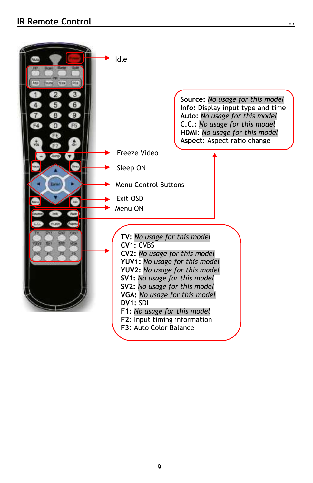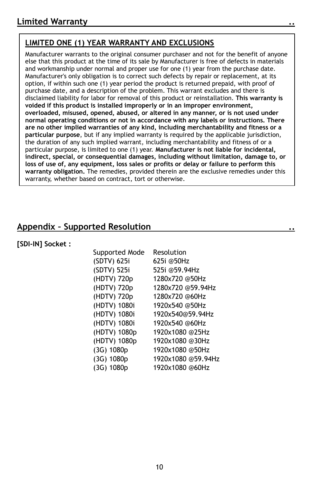# **LIMITED ONE (1) YEAR WARRANTY AND EXCLUSIONS**

Manufacturer warrants to the original consumer purchaser and not for the benefit of anyone else that this product at the time of its sale by Manufacturer is free of defects in materials and workmanship under normal and proper use for one (1) year from the purchase date. Manufacturer's only obligation is to correct such defects by repair or replacement, at its option, if within such one (1) year period the product is returned prepaid, with proof of purchase date, and a description of the problem. This warrant excludes and there is disclaimed liability for labor for removal of this product or reinstallation. **This warranty is voided if this product is installed improperly or in an improper environment, overloaded, misused, opened, abused, or altered in any manner, or is not used under normal operating conditions or not in accordance with any labels or instructions. There are no other implied warranties of any kind, including merchantability and fitness or a particular purpose**, but if any implied warranty is required by the applicable jurisdiction, the duration of any such implied warrant, including merchantability and fitness of or a particular purpose, is limited to one (1) year. **Manufacturer is not liable for incidental, indirect, special, or consequential damages, including without limitation, damage to, or loss of use of, any equipment, loss sales or profits or delay or failure to perform this warranty obligation.** The remedies, provided therein are the exclusive remedies under this warranty, whether based on contract, tort or otherwise.

# **Appendix – Supported Resolution ..**

**[SDI-IN] Socket :**

| Supported Mode  | Resolution         |
|-----------------|--------------------|
| (SDTV) 625i     | 625i @50Hz         |
| (SDTV) 525i     | 525i @59.94Hz      |
| (HDTV) 720p     | 1280x720 @50Hz     |
| (HDTV) 720p     | 1280x720 @59.94Hz  |
| (HDTV) 720p     | 1280x720 @60Hz     |
| (HDTV) 1080i    | 1920x540 @50Hz     |
| (HDTV) 1080i    | 1920x540@59.94Hz   |
| (HDTV) 1080i    | 1920x540 @60Hz     |
| (HDTV) 1080p    | 1920x1080 @25Hz    |
| (HDTV) 1080p    | 1920x1080 @30Hz    |
| $(3G)$ 1080 $p$ | 1920x1080 @50Hz    |
| $(3G)$ 1080 $p$ | 1920x1080 @59.94Hz |
| $(3G)$ 1080 $p$ | 1920x1080 @60Hz    |
|                 |                    |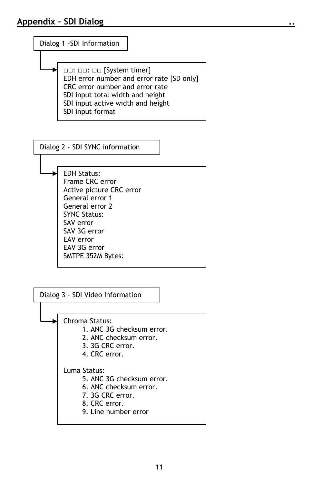

□□: □□: □□ [System timer] EDH error number and error rate [SD only] CRC error number and error rate SDI input total width and height SDI input active width and height SDI input format

Dialog 2 - SDI SYNC information

EDH Status: Frame CRC error Active picture CRC error General error 1 General error 2 SYNC Status: SAV error SAV 3G error EAV error EAV 3G error SMTPE 352M Bytes: